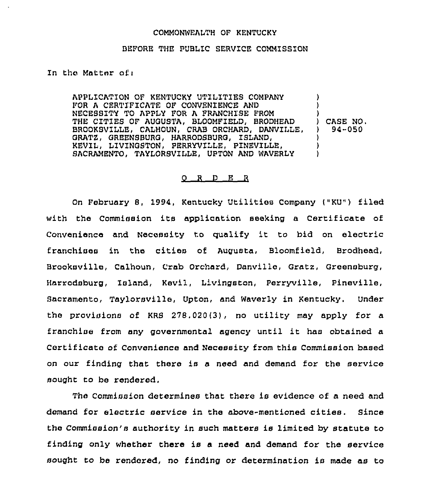## COMMONWEALTH OF KENTUCKY

## BLFORE THE PUBLIC SERVICE COMMISSION

ln the Matter ofi

APPLICATION OF KENTUCKY UTILITIES COMPANY FOR A CERTIFICATE OF CONVENIENCE AND NECESSITY TO APPLY FOR A FRANCHISE FROM THE CITIES OF AUGUSTA, BLOOMFIELD, BRODHEAD BROOKSVILLE, CALHOUN, CRAB ORCHARD, DANVILLE. GRATE, GREENSBURG, HARRODSBURG, ISLAND, KEVIL, LIVINGSTON, PERRYVILLE, PINEVILLE, SACRAMENTO, TAYLORSVILLE, UPTON AND WAVERLY ) ) ) ) CASE NO. ) 94-050 ) )  $\cdot$ 

## 0 <sup>R</sup> <sup>D</sup> E <sup>R</sup>

On February 8, 1994, Kentucky Utilities Company ("KU") filed with the Commission its application seeking a Certificate of Convenience and Necessity to qualify it to bid on electric franchises in the cities of Augusta, Bloomfield, Brodhead, Brooksville, Calhoun, Crab Orchard, Danville, Gratz, Greensburg, Harrodsburg, Island, Kevil, Livingston, Perryville, Pineville, Sacramento, Taylorsville, Upton, and Waverly in Kentucky. Under the provisions of KRS  $278.020(3)$ , no utility may apply for a franchise from any governmental agency until it has obtained <sup>a</sup> Certificate of Convenience and Necessity from this Commission based on our finding that there is a need and demand for the service sought to be rendered.

The Commission determines that there is evidence of a need and demand for electric service in the above-mentioned cities. Since the Commission's authority in such matters is limited by statute to finding only whether there is a need and demand for the service sought to be rendered, no finding or determination is made as to